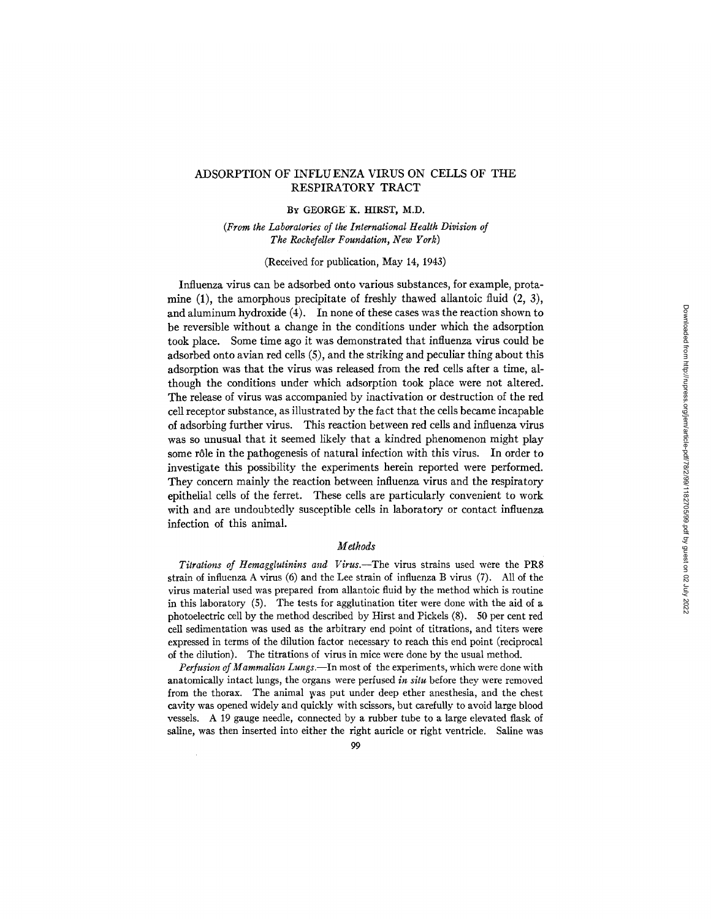# ADSORPTION OF INFLUENZA VIRUS ON CELLS OF THE RESPIRATORY TRACT

# BY GEORGE K. ttIRST, M.D.

*(From the Laboratories of the International Health Division of The Rockefeller Foundation, New York)* 

(Received for publication, May 14, 1943)

Influenza virus can be adsorbed onto various substances, for example, protamine (1), the amorphous precipitate of freshly thawed allantoic fluid  $(2, 3)$ , and aluminum hydroxide (4). In none of these cases was the reaction shown to be reversible without a change in the conditions under which the adsorption took place. Some time ago it was demonstrated that influenza virus could be adsorbed onto avian red cells (5), and the striking and peculiar thing about this adsorption was that the virus was released from the red cells after a time, although the conditions under which adsorption took place were not altered. The release of virus was accompanied by inactivation or destruction of the red cell receptor substance, as illustrated by the fact that the cells became incapable of adsorbing further virus. This reaction between red cells and influenza virus was so unusual that it seemed likely that a kindred phenomenon might play some r61e in the pathogenesis of natural infection with this virus. In order to investigate this possibility the experiments herein reported were performed. They concern mainly the reaction between influenza virus and the respiratory epithelial cells of the ferret. These cells are particularly convenient to work with and are undoubtedly susceptible cells in laboratory or contact influenza infection of this animal.

# *Methods*

*Titrations of Hemagglutinins and Virus.--The* virus strains used were the PR8 strain of influenza A virus (6) and the Lee strain of influenza B virus (7). All of the virus material used was prepared from allantoic fluid by the method which is routine in this laboratory (5). The tests for agglutination titer were done with the aid of a photoelectric cell by the method described by Hirst and Pickels (8). 50 per cent red cell sedimentation was used as the arbitrary end point of titrations, and titers were expressed in terms of the dilution factor necessary to reach this end point (reciprocal of the dilution). The titrations of virus in mice were done by the usual method.

*Perfusion of Mammalian Lungs.*—In most of the experiments, which were done with anatomically intact lungs, the organs were perfused *in situ* before they were removed from the thorax. The animal vas put under deep ether anesthesia, and the chest cavity was opened widely and quickly with scissors, but carefully to avoid large blood vessels. A 19 gauge needle, connected by a rubber tube to a large elevated flask of saline, was then inserted into either the right auricle or right ventricle. Saline was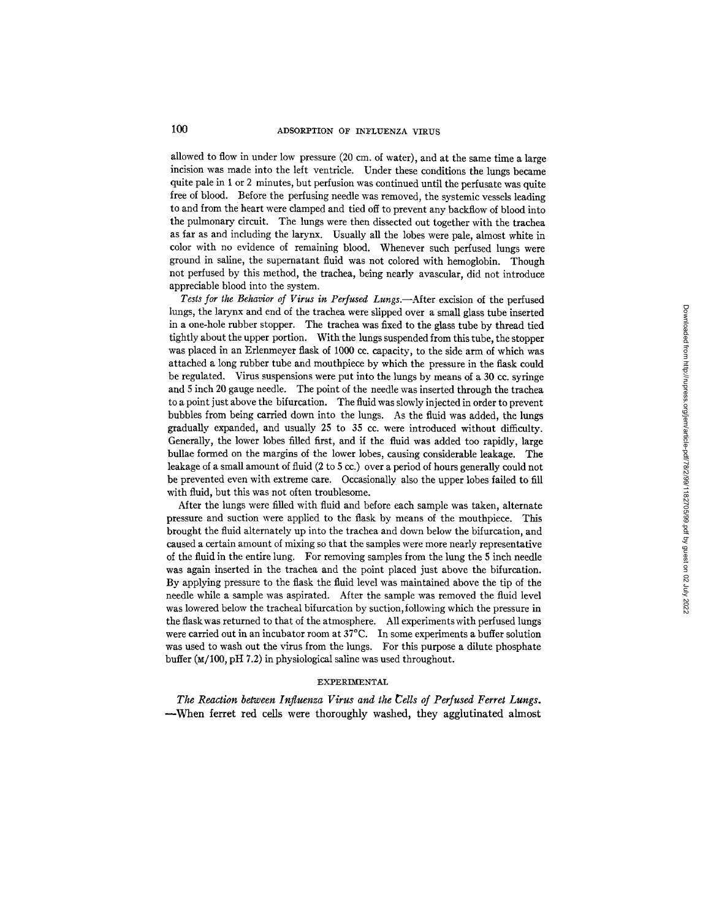allowed to flow in under low pressure (20 cm. of water), and at the same time a large incision was made into the left ventricle. Under these conditions the lungs became quite pale in 1 or 2 minutes, but perfusion was continued until the perfusate was quite free of blood. Before the perfusing needle was removed, the systemic vessels leading to and from the heart were clamped and tied off to prevent any backflow of blood into the pulmonary circuit. The lungs were then dissected out together with the trachea as far as and including the larynx. Usually all the lobes were pale, almost white in color with no evidence of remaining blood. Whenever such perfused lungs were ground in saline, the superuatant fluid was not colored with hemoglobin. Though not perfused by this method, the trachea, being nearly avascular, did not introduce appreciable blood into the system.

Tests for the Behavior of Virus in Perfused Lungs.--After excision of the perfused lungs, the larynx and end of the trachea were slipped over a small glass tube inserted in a one-hole rubber stopper. The trachea was fixed to the glass tube by thread tied tightly about the upper portion. With the lungs suspended from this tube, the stopper was placed in an Erlenmeyer flask of 1000 ce. capacity, to the side arm of which was attached a long rubber tube and mouthpiece by which the pressure in the flask could be regulated. Virus suspensions were put into the lungs by means of a 30 cc. syringe and 5 inch 20 gauge needle. The point of the needle was inserted through the trachea to a point just above the bifurcation. The fluid was slowly injected in order to prevent bubbles from being carried down into the lungs. As the fluid was added, the lungs gradually expanded, and usually 25 to 35 cc. were introduced without difficulty. Generally, the lower lobes filled first, and if the fluid was added too rapidly, large bullae formed on the margins of the lower lobes, causing considerable leakage. The leakage of a small amount of fluid (2 to 5 cc.) over a period of hours generally could not be prevented even with extreme care. Occasionally also the upper lobes failed to fill with fluid, but this was not often troublesome.

After the lungs were filled with fluid and before each sample was taken, alternate pressure and suction were applied to the flask by means of the mouthpiece. This brought the fluid alternately up into the trachea and down below the bifurcation, and caused a certain amount of mixing so that the samples were more nearly representative of the fluid in the entire lung. For removing samples from the lung the 5 inch needle was again inserted in the trachea and the point placed just above the bifurcation. By applying pressure to the flask the fluid level was maintained above the tip of the needle while a sample was aspirated. After the sample was removed the fluid level was lowered below the tracheal bifurcation by suction, following which the pressure in the flask was returned to that of the atmosphere. All experiments with perfused lungs were carried out in an incubator room at 37°C. In some experiments a buffer solution was used to wash out the virus from the lungs. For this purpose a dilute phosphate buffer ( $\mu$ /100, pH 7.2) in physiological saline was used throughout.

#### EXPERIMENTAL

The Reaction between Influenza Virus and the Cells of Perfused Ferret Lungs. --When ferret red cells were thoroughly washed, they agglutinated almost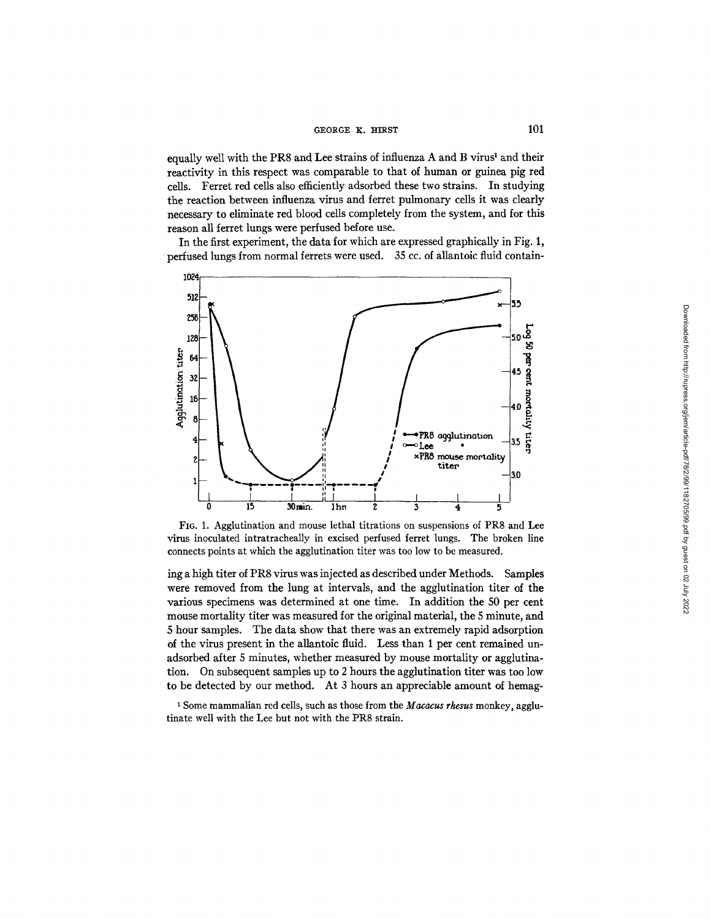equally well with the PR8 and Lee strains of influenza A and B virus<sup>1</sup> and their reactivity in this respect was comparable to that of human or guinea pig red cells. Ferret red cells also efficiently adsorbed these two strains. In studying the reaction between influenza virus and ferret pulmonary cells it was clearly necessary to eliminate red blood cells completely from the system, and for this reason all ferret lungs were perfused before use.

In the first experiment, the data for which are expressed graphically in Fig. 1, perfused lungs from normal ferrets were used. 35 cc. of allantoic fluid contain-



FIG. 1. Agglutination and mouse lethal titrations on suspensions of PR8 and Lee virus inoculated intratracheally in excised perfused ferret lungs. The broken line connects points at which the agglutination titer was too low to be measured.

ing a high titer of PR8 virus was injected as described under Methods. Samples were removed from the lung at intervals, and the agglutination titer of the various specimens was determined at one time. In addition the 50 per cent mouse mortality titer was measured for the original material, the 5 minute, and 5 hour samples. The data show that there was an extremely rapid adsorption of the virus present in the allantoic fluid. Less than 1 per cent remained unadsorbed after 5 minutes, whether measured by mouse mortality or agglutination. On subsequent samples up to 2 hours the agglutination titer was too low to be detected by our method. At 3 hours an appreciable amount of hemag-

<sup>1</sup> Some mammalian red cells, such as those from the *Macacus rhesus* monkey, agglutinate well with the Lee but not with the PR8 strain.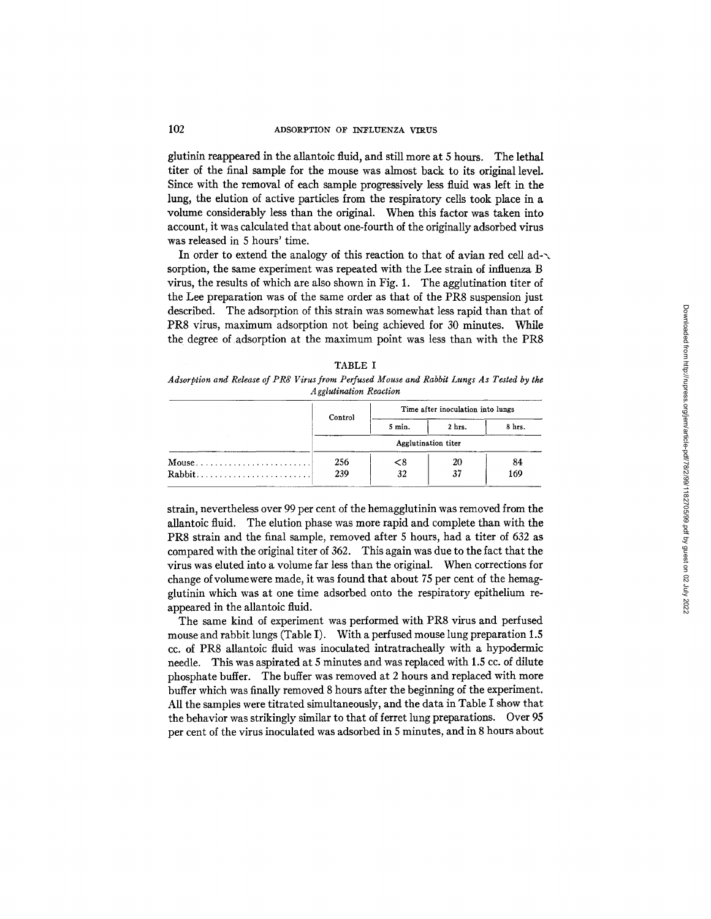glutinin reappeared in the aHantoic fluid, and still more at 5 hours. The lethal titer of the final sample for the mouse was almost back to its original level. Since with the removal of each sample progressively less fluid was left in the lung, the elution of active particles from the respiratory ceils took place in a volume considerably less than the original. When this factor was taken into account, it was calculated that about one-fourth of the originally adsorbed virus was released in 5 hours' time.

In order to extend the analogy of this reaction to that of avian red cell ad- $\sim$ sorption, the same experiment was repeated with the Lee strain of influenza B virus, the results of which are also shown in Fig. 1. The agglutination titer of the Lee preparation was of the same order as that of the PR8 suspension just described. The adsorption of this strain was somewhat less rapid than that of PR8 virus, maximum adsorption not being achieved for 30 minutes. While the degree of adsorption at the maximum point was less than with the PR8

| тявет т                                                                                                             |  |
|---------------------------------------------------------------------------------------------------------------------|--|
| Adsorption and Release of PR8 Virus from Perfused Mouse and Rabbit Lungs As Tested by the<br>Agglutination Reaction |  |
|                                                                                                                     |  |

many n<sub>i</sub>

|                                                          | Control             | Time after inoculation into lungs |                  |        |  |  |
|----------------------------------------------------------|---------------------|-----------------------------------|------------------|--------|--|--|
|                                                          |                     | $5$ min.                          | 2 <sub>hrs</sub> | 8 hrs. |  |  |
|                                                          | Agglutination titer |                                   |                  |        |  |  |
| Mouse                                                    | 256                 | $\leq 8$                          | 20               | -84    |  |  |
| $Rabbit: \ldots, \ldots, \ldots, \ldots, \ldots, \ldots$ | 239                 | 32                                | 37               | 169    |  |  |

strain, nevertheless over 99 per cent of the hemagglutinin was removed from the aUantoic fluid. The elution phase was more rapid and complete than with the PR8 strain and the final sample, removed after 5 hours, had a titer of 632 as compared with the original titer of 362. This again was due to the fact that the virus was eluted into a volume far less than the original. When corrections for change ofvolumewere made, it was found that about 75 per cent of the hemagglutinin which was at one time adsorbed onto the respiratory epithelium reappeared in the allantoic fluid.

The same kind of experiment was performed with PR8 virus and perfused mouse and rabbit lungs (Table I). With a perfused mouse lung preparation 1.5 cc. of PR8 allantoic fluid was inoculated intratracheally with a hypodermic needle. This was aspirated at 5 minutes and was replaced with 1.5 cc. of dilute phosphate buffer. The buffer was removed at 2 hours and replaced with more buffer which was finally removed 8 hours after the beginning of the experiment. All the samples were titrated simultaneously, and the data in Table I show that the behavior was strikingly similar to that of ferret lung preparations. Over 95 per cent of the virus inoculated was adsorbed in 5 minutes, and in 8 hours about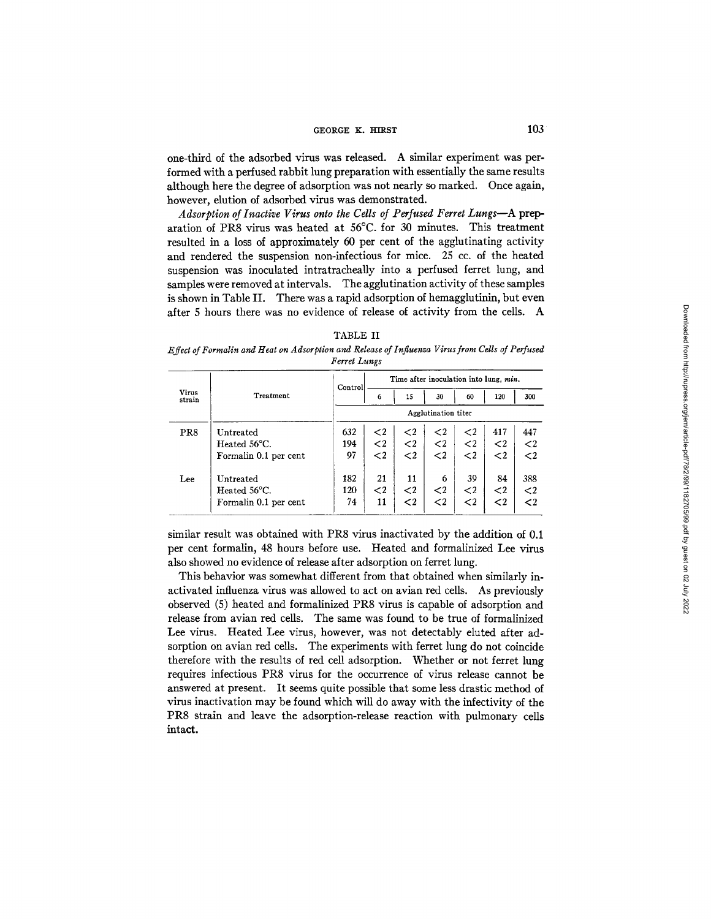one-third of the adsorbed virus was released. A similar experiment was performed with a perfused rabbit lung preparation with essentially the same results although here the degree of adsorption was not nearly so marked. Once again, however, elution of adsorbed virus was demonstrated.

*Adsorption of Inactive Virus onto the Cells of Perfused Ferret Lungs--A* preparation of PR8 virus was heated at 56°C. for 30 minutes. This treatment resulted in a loss of approximately 60 per cent of the agglutinating activity and rendered the suspension non-infectious for mice. 25 cc. of the heated suspension was inoculated intratracheaUy into a perfused ferret lung, and samples were removed at intervals. The agglutination activity of these samples is shown in Table II. There was a rapid adsorption of hemagglutinin, but even after 5 hours there was no evidence of release of activity from the cells. A

#### TABLE II

*Effect of Formalin and Heat on Adsorption and Release of Influenza Virus from Cells of Perfused Ferret Lungs* 

| Virus<br>strain |                       | Control | Time after inoculation into lung, min. |               |          |               |               |               |  |
|-----------------|-----------------------|---------|----------------------------------------|---------------|----------|---------------|---------------|---------------|--|
|                 | Treatment             |         | 6                                      | 15            | 30       | 60            | 120           | 300           |  |
|                 |                       |         | Agglutination titer                    |               |          |               |               |               |  |
| PR8             | Untreated             | 632     | $\lt2$                                 | $\lt2$        | $\lt2$   | $\mathbf{<}2$ | 417           | 447           |  |
|                 | Heated 56°C.          | 194     | $\lt2$                                 | $\lt2$        | $\lt2$   | $\leq$ 2      | $\leq$ 2      | $\leq$ 2      |  |
|                 | Formalin 0.1 per cent | 97      | $\lt2$                                 | $\lt2$        | $\leq$ 2 | $\leq$ 2      | $\leq$ 2      | $\lt2$        |  |
| Lee             | Untreated             | 182     | 21                                     | 11            | 6        | 39            | 84            | 388           |  |
|                 | Heated 56°C.          | 120     | $\lt2$                                 | $\lt2$        | $\leq$ 2 | $\leq$ 2      | $\mathbf{<}2$ | $\lt2$        |  |
|                 | Formalin 0.1 per cent | 74      | 11                                     | $\mathbf{<}2$ | ${<}2$   | $\lt2$        | $\mathbf{<}2$ | $\mathbf{<}2$ |  |

similar result was obtained with PR8 virus inactivated by the addition of 0.1 per cent formalin, 48 hours before use. Heated and formalinized Lee virus also showed no evidence of release after adsorption on ferret lung.

This behavior was somewhat different from that obtained when similarly inactivated influenza virus was allowed to act on avian red cells. As previously observed (5) heated and formalinized PR8 virus is capable of adsorption and release from avian red cells. The same was found to be true of formalinized Lee virus. Heated Lee virus, however, was not detectably eluted after adsorption on avian red cells. The experiments with ferret lung do not coincide therefore with the results of red cell adsorption. Whether or not ferret lung requires infectious PR8 virus for the occurrence of virus release cannot be answered at present. It seems quite possible that some less drastic method of virus inactivation may be found which will do away with the infectivity of the PR8 strain and leave the adsorption-release reaction with pulmonary cells intact.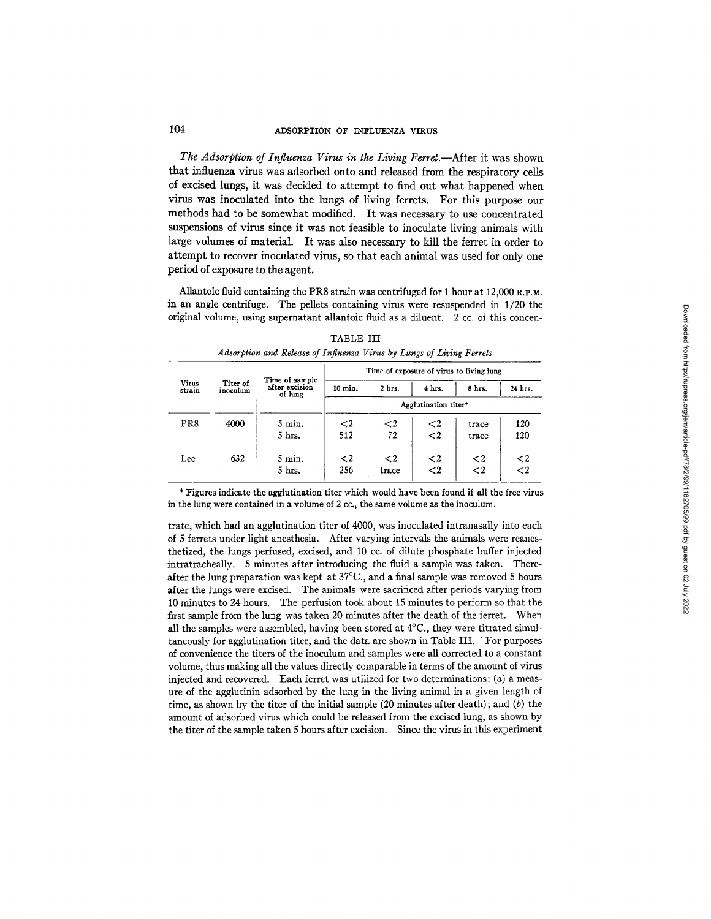## 104 ADSORPTION OF INFLUENZA VIRUS

*The Adsorption of Influenza Virus in the Living Ferret.--After* it was shown that influenza virus was adsorbed onto and released from the respiratory cells of excised lungs, it was decided to attempt to find out what happened when virus was inoculated into the lungs of living ferrets. For this purpose our methods had to be somewhat modified. It was necessary to use concentrated suspensions of virus since it was not feasible to inoculate living animals with large volumes of material. It was also necessary to kill the ferret in order to attempt to recover inoculated virus, so that each animal was used for only one period of exposure to the agent.

Allantoic fluid containing the PR8 strain was centrifuged for 1 hour at  $12,000$  R.P.M. in an angle centrifuge. The pellets containing virus were resuspended in 1/20 the original volume, using superuatant allantoic fluid as a diluent. 2 cc. of this concen-

| <b>Virus</b><br>Titer of<br>strain<br>inoculum |                                             |                  | Time of exposure of virus to living lung |        |               |               |               |  |  |
|------------------------------------------------|---------------------------------------------|------------------|------------------------------------------|--------|---------------|---------------|---------------|--|--|
|                                                | Time of sample<br>after excision<br>of lung | 10 min.          | 2 hrs.                                   | 4 hrs. | 8 hrs.        | 24 hrs.       |               |  |  |
|                                                |                                             |                  | Agglutination titer*                     |        |               |               |               |  |  |
| PR <sub>8</sub>                                | 4000                                        | $5 \text{ min.}$ | $\leq$ 2                                 | $\lt2$ | $\mathbf{<}2$ | trace         | 120           |  |  |
|                                                |                                             | 5 hrs.           | 512                                      | 72     | $\leq$        | trace         | 120           |  |  |
| Lee                                            | 632                                         | $5$ min.         | $\leq$ 2                                 | $\lt2$ | $\lt2$        | $\mathbf{<}2$ | $\mathbf{<}2$ |  |  |
|                                                |                                             | 5 hrs.           | 256                                      | trace  | $\lt2$        | $\lt2$        | $\lt2$        |  |  |

TABLE III *Adsorption and Release of Influenza Virus by Lungs of Living Ferrets* 

\* Figures indicate the agglutination fiter which would have been found if all the free virus in the lung were contained in a volume of 2 cc., the same volume as the inoculum.

trate, which had an agglutination fiter of 4000, was inoculated intranasally into each of 5 ferrets under light anesthesia. After varying intervals the animals were reanesthefized, the lungs perfused, excised, and 10 cc. of dilute phosphate buffer injected intratracheally. 5 minutes after introducing the fluid a sample was taken. Thereafter the lung preparation was kept at 37°C., and a final sample was removed 5 hours after the lungs were excised. The animals were sacrificed after periods varying from 10 minutes to 24 hours. The perfusion took about 15 minutes to perform so that the first sample from the lung was taken 20 minutes after the death of the ferret. When all the samples were assembled, having been stored at  $4^{\circ}$ C., they were titrated simultaneously for agglutination titer, and the data are shown in Table III. Tor purposes of convenience the titers of the inoculum and samples were all corrected to a constant volume, thus making all the values directly comparable in terms of the amount of virus injected and recovered. Each ferret was utilized for two determinations:  $(a)$  a measure of the agglutinin adsorbed by the lung in the living animal in a given length of time, as shown by the titer of the initial sample  $(20 \text{ minutes after death})$ ; and  $(b)$  the amount of adsorbed virus which could be released from the excised lung, as shown by the titer of the sample taken 5 hours after excision. Since the virus in this experiment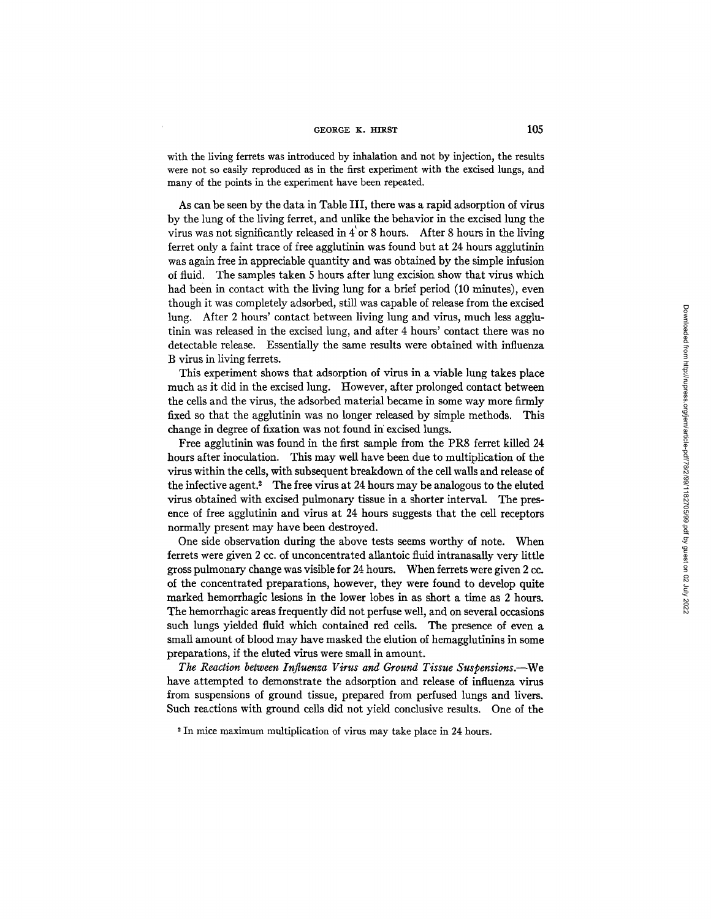with the living ferrets was introduced by inhalation and not by injection, the results were not so easily reproduced as in the first experiment with the excised lungs, and many of the points in the experiment have been repeated.

As can be seen by the data in Table III, there was a rapid adsorption of virus by the lung of the living ferret, and unlike the behavior in the excised lung the virus was not significantly released in  $\vec{A}$  or 8 hours. After 8 hours in the living ferret only a faint trace of free agglutinin was found but at 24 hours agglutinin was again free in appreciable quantity and was obtained by the simple infusion of fluid. The samples taken 5 hours after lung excision show that virus which had been in contact with the living lung for a brief period (10 minutes), even though it was completely adsorbed, still was capable of release from the excised lung. After 2 hours' contact between living lung and virus, much less agglutinin was released in the excised lung, and after 4 hours' contact there was no detectable release. Essentially the same results were obtained with influenza B virus in living ferrets.

This experiment shows that adsorption of virus in a viable lung takes place much as it did in the excised lung. However, after prolonged contact between the cells and the virus, the adsorbed material became in some way more firmly fixed so that the agglutinin was no longer released by simple methods. This change in degree of fixation was not found in' excised lungs.

Free agglutinin was found in the first sample from the PR8 ferret killed 24 hours after inoculation. This may well have been due to multiplication of the virus within the cells, with subsequent breakdown of the cell walls and release of the infective agent.<sup>2</sup> The free virus at 24 hours may be analogous to the eluted virus obtained with excised pulmonary tissue in a shorter interval. The presence of free agglutinin and virus at 24 hours suggests that the cell receptors normally present may have been destroyed.

One side observation during the above tests seems worthy of note. When ferrets were given 2 cc. of unconcentrated allantoic fluid intranasally very little gross pulmonary change was visible for 24 hours. When ferrets were given 2 cc. of the concentrated preparations, however, they were found to develop quite marked hemorrhagic lesions in the lower lobes in as short a time as 2 hours. The hemorrhagic areas frequently did not perfuse well, and on several occasions such lungs yielded fluid which contained red cells. The presence of even a small amount of blood may have masked the elution of hemagglutinins in some preparations, if the eluted virus were small in amount.

*The Reaction between Influenza Virus and Ground Tissue Suspensions.--We*  have attempted to demonstrate the adsorption and release of influenza virus from suspensions of ground tissue, prepared from perfused lungs and livers. Such reactions with ground cells did not yield conclusive results. One of the

<sup>2</sup> In mice maximum multiplication of virus may take place in 24 hours.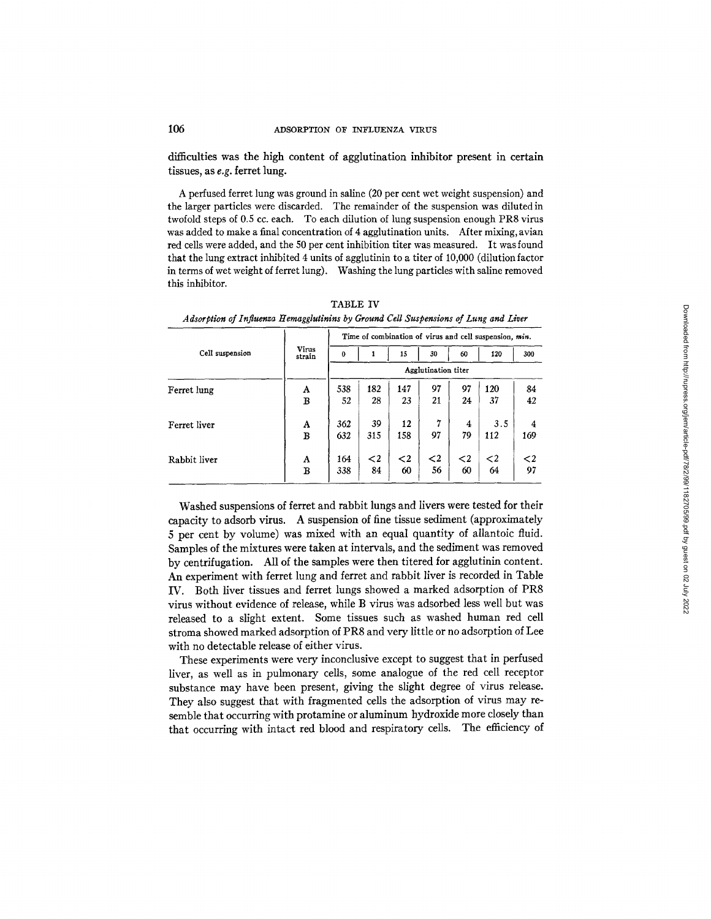difficulties was the high content of agglutination inhibitor present in certain tissues, as *e.g.* ferret lung.

A perfused ferret lung was ground in saline (20 per cent wet weight suspension) and the larger particles were discarded. The remainder of the suspension was diluted in twofold steps of 0.5 cc. each. To each dilution of lung suspension enough PR8 virus was added to make a final concentration of 4 agglutination units. After mixing, avian red cells were added, and the 50 per cent inhibition titer was measured. It was found that the lung extract inhibited 4 units of agglutinin to a titer of 10,000 (dilution factor in terms of wet weight of ferret lung). Washing the lung particles with saline removed this inhibitor.

|                 |                 | Time of combination of virus and cell suspension, min. |        |        |        |        |        |        |  |
|-----------------|-----------------|--------------------------------------------------------|--------|--------|--------|--------|--------|--------|--|
| Cell suspension | Virus<br>strain | $\Omega$                                               |        | 15     | 30     | 60     | 120    | 300    |  |
|                 |                 | Agglutination titer                                    |        |        |        |        |        |        |  |
| Ferret lung     | A               | 538                                                    | 182    | 147    | 97     | 97     | 120    | 84     |  |
|                 | B               | 52                                                     | 28     | 23     | 21     | 24     | 37     | 42     |  |
| Ferret liver    | A               | 362                                                    | 39     | 12     | 7      | 4      | 3.5    | 4      |  |
|                 | B               | 632                                                    | 315    | 158    | 97     | 79     | 112    | 169    |  |
| Rabbit liver    | A               | 164                                                    | $\lt2$ | $\lt2$ | $\lt2$ | $\leq$ | $\lt2$ | $\lt2$ |  |
|                 | $\bf{B}$        | 338                                                    | 84     | 60     | 56     | 60     | 64     | 97     |  |

TABLE IV Adsorption of Influenza Hemagglutinins by Ground Cell Suspensions of Lung and Liver

Washed suspensions of ferret and rabbit lungs and livers were tested for their capacity to adsorb virus. A suspension of fine tissue sediment (approximately 5 per cent by volume) was mixed with an equal quantity of allantoic fluid. Samples of the mixtures were taken at intervals, and the sediment was removed by centrifugation. All of the samples were then titered for agglutinin content. An experiment with ferret lung and ferret and rabbit liver is recorded in Table IV. Both liver tissues and ferret lungs showed a marked adsorption of PR8 virus without evidence of release, while B virus Was adsorbed less well but was released to a slight extent. Some tissues such as washed human red cell stroma showed marked adsorption of PR8 and very little or no adsorption of Lee with no detectable release of either virus.

These experiments were very inconclusive except to suggest that in perfused liver, as well as in pulmonary cells, some analogue of the red cell receptor substance may have been present, giving the slight degree of virus release. They also suggest that with fragmented cells the adsorption of virus may resemble that occurring with protamine or aluminum hydroxide more closely than that occurring with intact red blood and respiratory cells. The efficiency of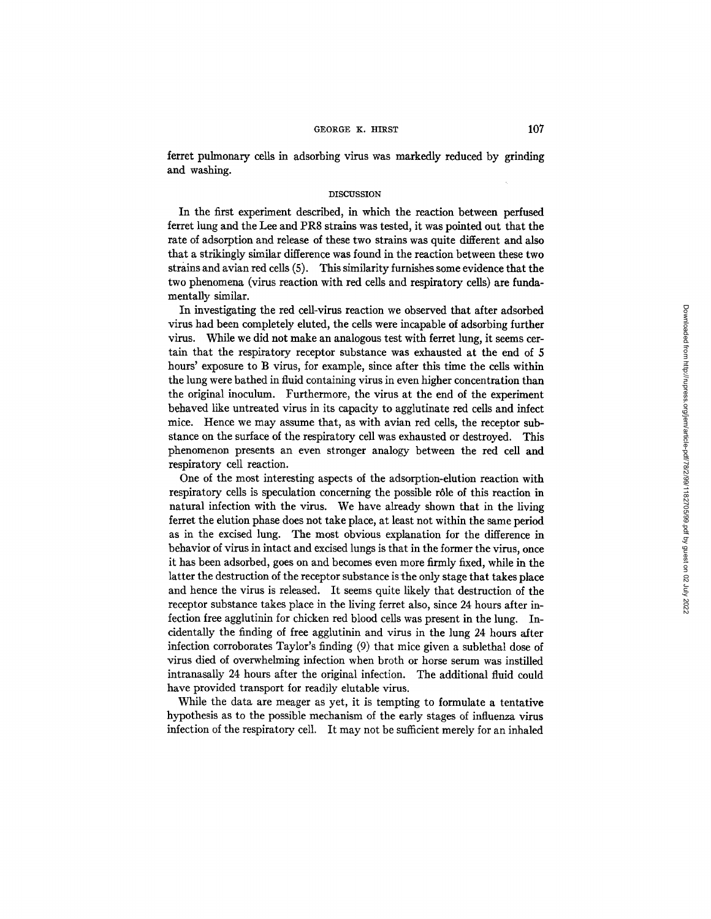ferret pulmonary cells in adsorbing virus was markedly reduced by grinding and washing.

#### DISCUSSION

In the first experiment described, in which the reaction between perfused ferret lung and the Lee and PR8 strains was tested, it was pointed out that the rate of adsorption and release of these two strains was quite different and also that a strikingly similar difference was found in the reaction between these two strains and avian red cells (5). This similarity furnishes some evidence that the two phenomena (virus reaction with red cells and respiratory cells) are fundamentally similar.

In investigating the red cell-virus reaction we observed that after adsorbed virus had been completely eluted, the cells were incapable of adsorbing further virus. While we did not make an analogous test with ferret lung, it seems certain that the respiratory receptor substance was exhausted at the end of 5 hours' exposure to B virus, for example, since after this time the cells within the lung were bathed in fluid containing virus in even higher concentration than the original inoculum. Furthermore, the virus at the end of the experiment behaved like untreated virus in its capacity to agglutinate red cells and infect mice. Hence we may assume that, as with avian red cells, the receptor substance on the surface of the respiratory cell was exhausted or destroyed. This phenomenon presents an even stronger analogy between the red cell and respiratory cell reaction.

One of the most interesting aspects of the adsorption-elution reaction with respiratory cells is speculation concerning the possible r61e of this reaction in natural infection with the virus. We have already shown that in the living ferret the elution phase does not take place, at least not within the same period as in the excised lung. The most obvious explanation for the difference in behavior of virus in intact and excised lungs is that in the former the virus, once it has been adsorbed, goes on and becomes even more firmly fixed, while in the latter the destruction of the receptor substance is the only stage that takes place and hence the virus is released. It seems quite likely that destruction of the receptor substance takes place in the living ferret also, since 24 hours after infection free agglutinin for chicken red blood cells was present in the lung. Incidentally the finding of free agglutinin and virus in the lung 24 hours after infection corroborates Taylor's finding (9) that mice given a sublethal dose of virus died of overwhelming infection when broth or horse serum was instilled intranasally 24 hours after the original infection. The additional fluid could have provided transport for readily elutable virus.

While the data are meager as yet, it is tempting to formulate a tentative hypothesis as to the possible mechanism of the early stages of influenza virus infection of the respiratory cell. It may not be sufficient merely for an inhaled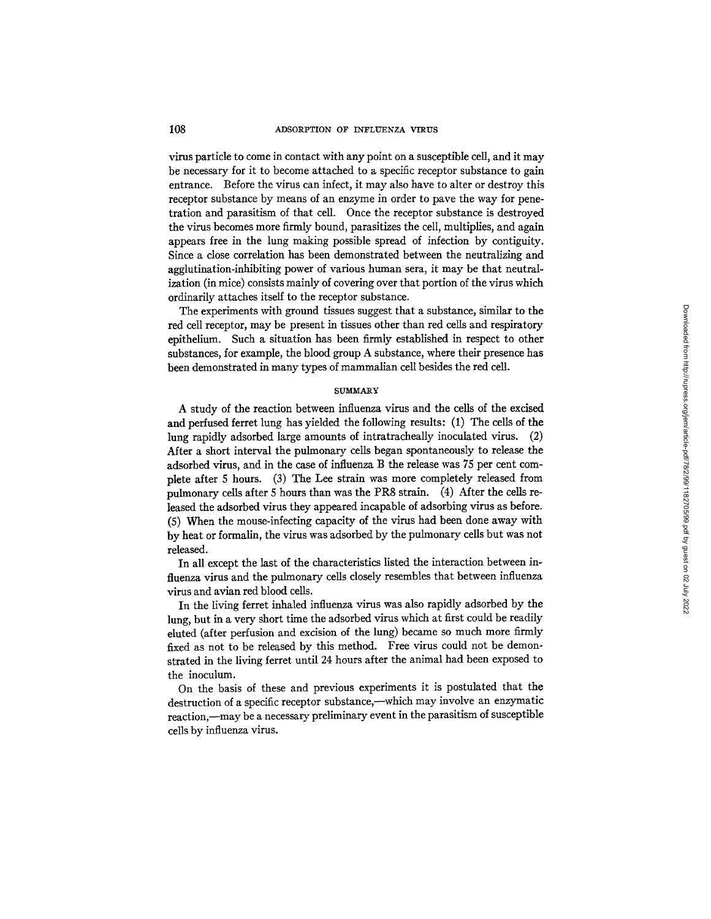virus particle to come in contact with any point on a susceptible cell, and it may be necessary for it to become attached to a specific receptor substance to gain entrance. Before the virus can infect, it may also have to alter or destroy this receptor substance by means of an enzyme in order to pave the way for penetration and parasitism of that cell. Once the receptor substance is destroyed the virus becomes more firmly bound, parasitizes the cell, multiplies, and again appears free in the lung making possible spread of infection by contiguity. Since a close correlation has been demonstrated between the neutralizing and agglutination-inhibiting power of various human sera, it may be that neutralization (in mice) consists mainly of covering over that portion of the virus which ordinarily attaches itself to the receptor substance.

The experiments with ground tissues suggest that a substance, similar to the red cell receptor, may be present in tissues other than red cells and respiratory epithelium. Such a situation has been firmly established in respect to other substances, for example, the blood group A substance, where their presence has been demonstrated in many types of mammalian cell besides the red cell.

### SUMMARY

A study of the reaction between influenza virus and the cells of the excised and perfused ferret lung has yielded the following results: (1) The cells of the lung rapidly adsorbed large amounts of intratracheally inoculated virus. (2) After a short interval the pulmonary cells began spontaneously to release the adsorbed virus, and in the case of influenza B the release was 75 per cent complete after 5 hours. (3) The Lee strain was more completely released from pulmonary cells after 5 hours than was the PR8 strain. (4) After the cells released the adsorbed virus they appeared incapable of adsorbing virus as before. (5) When the mouse-infecting capacity of the virus had been done away with by heat or formalin, the virus was adsorbed by the pulmonary cells but was not released.

In all except the last of the characteristics listed the interaction between influenza virus and the pulmonary cells closely resembles that between influenza virus and avian red blood cells.

In the living ferret inhaled influenza virus was also rapidly adsorbed by the lung, but in a very short time the adsorbed virus which at first could be readily eluted (after perfusion and excision of the lung) became so much more firmly fixed as not to be released by this method. Free virus could not be demonstrated in the living ferret until 24 hours after the animal had been exposed to the inoculum.

On the basis of these and previous experiments it is postulated that the destruction of a specific receptor substance,--which may involve an enzymatic reaction,—may be a necessary preliminary event in the parasitism of susceptible cells by influenza virus.